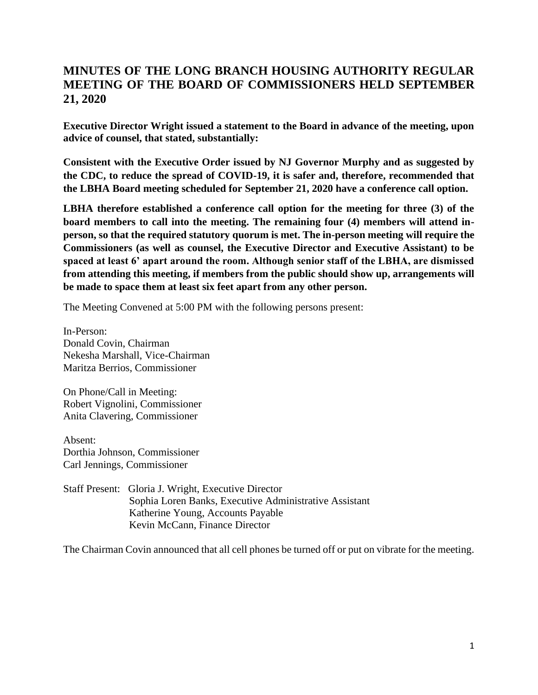## **MINUTES OF THE LONG BRANCH HOUSING AUTHORITY REGULAR MEETING OF THE BOARD OF COMMISSIONERS HELD SEPTEMBER 21, 2020**

**Executive Director Wright issued a statement to the Board in advance of the meeting, upon advice of counsel, that stated, substantially:** 

**Consistent with the Executive Order issued by NJ Governor Murphy and as suggested by the CDC, to reduce the spread of COVID-19, it is safer and, therefore, recommended that the LBHA Board meeting scheduled for September 21, 2020 have a conference call option.**

**LBHA therefore established a conference call option for the meeting for three (3) of the board members to call into the meeting. The remaining four (4) members will attend inperson, so that the required statutory quorum is met. The in-person meeting will require the Commissioners (as well as counsel, the Executive Director and Executive Assistant) to be spaced at least 6' apart around the room. Although senior staff of the LBHA, are dismissed from attending this meeting, if members from the public should show up, arrangements will be made to space them at least six feet apart from any other person.**

The Meeting Convened at 5:00 PM with the following persons present:

In-Person: Donald Covin, Chairman Nekesha Marshall, Vice-Chairman Maritza Berrios, Commissioner

On Phone/Call in Meeting: Robert Vignolini, Commissioner Anita Clavering, Commissioner

Absent: Dorthia Johnson, Commissioner Carl Jennings, Commissioner

Staff Present: Gloria J. Wright, Executive Director Sophia Loren Banks, Executive Administrative Assistant Katherine Young, Accounts Payable Kevin McCann, Finance Director

The Chairman Covin announced that all cell phones be turned off or put on vibrate for the meeting.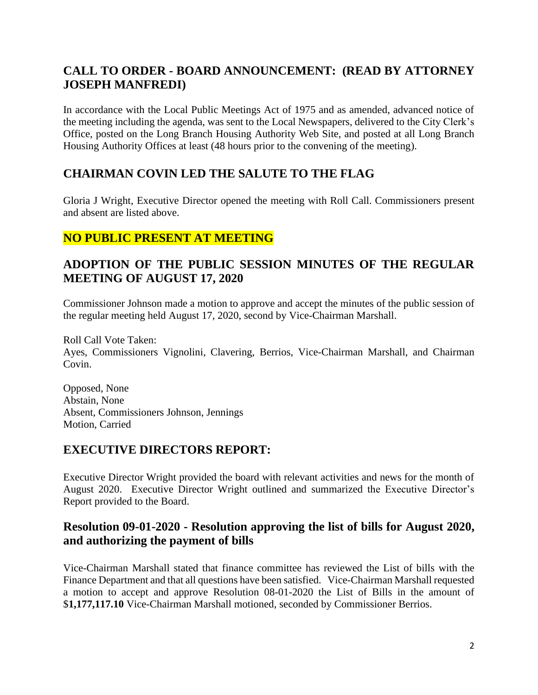# **CALL TO ORDER - BOARD ANNOUNCEMENT: (READ BY ATTORNEY JOSEPH MANFREDI)**

In accordance with the Local Public Meetings Act of 1975 and as amended, advanced notice of the meeting including the agenda, was sent to the Local Newspapers, delivered to the City Clerk's Office, posted on the Long Branch Housing Authority Web Site, and posted at all Long Branch Housing Authority Offices at least (48 hours prior to the convening of the meeting).

# **CHAIRMAN COVIN LED THE SALUTE TO THE FLAG**

Gloria J Wright, Executive Director opened the meeting with Roll Call. Commissioners present and absent are listed above.

# **NO PUBLIC PRESENT AT MEETING**

## **ADOPTION OF THE PUBLIC SESSION MINUTES OF THE REGULAR MEETING OF AUGUST 17, 2020**

Commissioner Johnson made a motion to approve and accept the minutes of the public session of the regular meeting held August 17, 2020, second by Vice-Chairman Marshall.

Roll Call Vote Taken: Ayes, Commissioners Vignolini, Clavering, Berrios, Vice-Chairman Marshall, and Chairman Covin.

Opposed, None Abstain, None Absent, Commissioners Johnson, Jennings Motion, Carried

# **EXECUTIVE DIRECTORS REPORT:**

Executive Director Wright provided the board with relevant activities and news for the month of August 2020. Executive Director Wright outlined and summarized the Executive Director's Report provided to the Board.

## **Resolution 09-01-2020 - Resolution approving the list of bills for August 2020, and authorizing the payment of bills**

Vice-Chairman Marshall stated that finance committee has reviewed the List of bills with the Finance Department and that all questions have been satisfied. Vice-Chairman Marshall requested a motion to accept and approve Resolution 08-01-2020 the List of Bills in the amount of \$**1,177,117.10** Vice-Chairman Marshall motioned, seconded by Commissioner Berrios.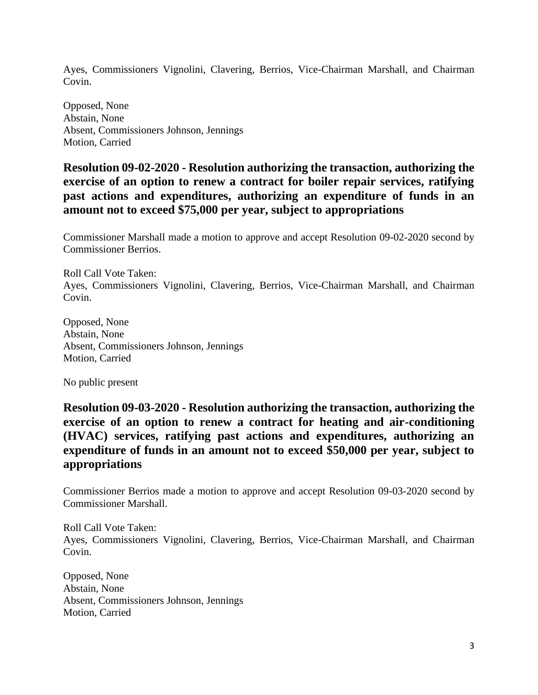Ayes, Commissioners Vignolini, Clavering, Berrios, Vice-Chairman Marshall, and Chairman Covin.

Opposed, None Abstain, None Absent, Commissioners Johnson, Jennings Motion, Carried

**Resolution 09-02-2020 - Resolution authorizing the transaction, authorizing the exercise of an option to renew a contract for boiler repair services, ratifying past actions and expenditures, authorizing an expenditure of funds in an amount not to exceed \$75,000 per year, subject to appropriations**

Commissioner Marshall made a motion to approve and accept Resolution 09-02-2020 second by Commissioner Berrios.

Roll Call Vote Taken: Ayes, Commissioners Vignolini, Clavering, Berrios, Vice-Chairman Marshall, and Chairman Covin.

Opposed, None Abstain, None Absent, Commissioners Johnson, Jennings Motion, Carried

No public present

**Resolution 09-03-2020 - Resolution authorizing the transaction, authorizing the exercise of an option to renew a contract for heating and air-conditioning (HVAC) services, ratifying past actions and expenditures, authorizing an expenditure of funds in an amount not to exceed \$50,000 per year, subject to appropriations**

Commissioner Berrios made a motion to approve and accept Resolution 09-03-2020 second by Commissioner Marshall.

Roll Call Vote Taken: Ayes, Commissioners Vignolini, Clavering, Berrios, Vice-Chairman Marshall, and Chairman Covin.

Opposed, None Abstain, None Absent, Commissioners Johnson, Jennings Motion, Carried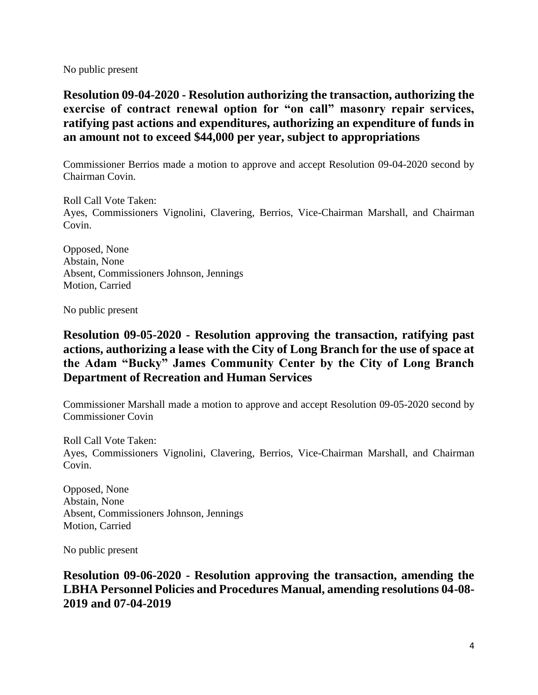No public present

**Resolution 09-04-2020 - Resolution authorizing the transaction, authorizing the exercise of contract renewal option for "on call" masonry repair services, ratifying past actions and expenditures, authorizing an expenditure of funds in an amount not to exceed \$44,000 per year, subject to appropriations**

Commissioner Berrios made a motion to approve and accept Resolution 09-04-2020 second by Chairman Covin.

Roll Call Vote Taken: Ayes, Commissioners Vignolini, Clavering, Berrios, Vice-Chairman Marshall, and Chairman Covin.

Opposed, None Abstain, None Absent, Commissioners Johnson, Jennings Motion, Carried

No public present

## **Resolution 09-05-2020 - Resolution approving the transaction, ratifying past actions, authorizing a lease with the City of Long Branch for the use of space at the Adam "Bucky" James Community Center by the City of Long Branch Department of Recreation and Human Services**

Commissioner Marshall made a motion to approve and accept Resolution 09-05-2020 second by Commissioner Covin

Roll Call Vote Taken: Ayes, Commissioners Vignolini, Clavering, Berrios, Vice-Chairman Marshall, and Chairman Covin.

Opposed, None Abstain, None Absent, Commissioners Johnson, Jennings Motion, Carried

No public present

**Resolution 09-06-2020 - Resolution approving the transaction, amending the LBHA Personnel Policies and Procedures Manual, amending resolutions 04-08- 2019 and 07-04-2019**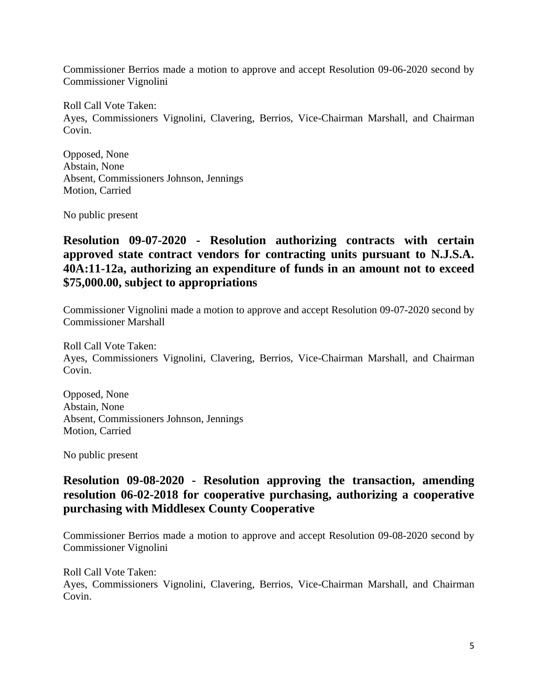Commissioner Berrios made a motion to approve and accept Resolution 09-06-2020 second by Commissioner Vignolini

Roll Call Vote Taken: Ayes, Commissioners Vignolini, Clavering, Berrios, Vice-Chairman Marshall, and Chairman Covin.

Opposed, None Abstain, None Absent, Commissioners Johnson, Jennings Motion, Carried

No public present

**Resolution 09-07-2020 - Resolution authorizing contracts with certain approved state contract vendors for contracting units pursuant to N.J.S.A. 40A:11-12a, authorizing an expenditure of funds in an amount not to exceed \$75,000.00, subject to appropriations**

Commissioner Vignolini made a motion to approve and accept Resolution 09-07-2020 second by Commissioner Marshall

Roll Call Vote Taken: Ayes, Commissioners Vignolini, Clavering, Berrios, Vice-Chairman Marshall, and Chairman Covin.

Opposed, None Abstain, None Absent, Commissioners Johnson, Jennings Motion, Carried

No public present

#### **Resolution 09-08-2020 - Resolution approving the transaction, amending resolution 06-02-2018 for cooperative purchasing, authorizing a cooperative purchasing with Middlesex County Cooperative**

Commissioner Berrios made a motion to approve and accept Resolution 09-08-2020 second by Commissioner Vignolini

Roll Call Vote Taken: Ayes, Commissioners Vignolini, Clavering, Berrios, Vice-Chairman Marshall, and Chairman Covin.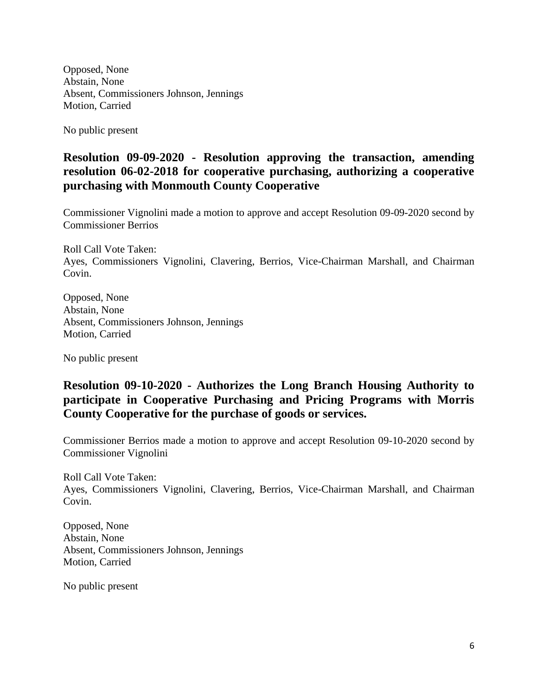Opposed, None Abstain, None Absent, Commissioners Johnson, Jennings Motion, Carried

No public present

### **Resolution 09-09-2020 - Resolution approving the transaction, amending resolution 06-02-2018 for cooperative purchasing, authorizing a cooperative purchasing with Monmouth County Cooperative**

Commissioner Vignolini made a motion to approve and accept Resolution 09-09-2020 second by Commissioner Berrios

Roll Call Vote Taken: Ayes, Commissioners Vignolini, Clavering, Berrios, Vice-Chairman Marshall, and Chairman Covin.

Opposed, None Abstain, None Absent, Commissioners Johnson, Jennings Motion, Carried

No public present

## **Resolution 09-10-2020 - Authorizes the Long Branch Housing Authority to participate in Cooperative Purchasing and Pricing Programs with Morris County Cooperative for the purchase of goods or services.**

Commissioner Berrios made a motion to approve and accept Resolution 09-10-2020 second by Commissioner Vignolini

Roll Call Vote Taken: Ayes, Commissioners Vignolini, Clavering, Berrios, Vice-Chairman Marshall, and Chairman Covin.

Opposed, None Abstain, None Absent, Commissioners Johnson, Jennings Motion, Carried

No public present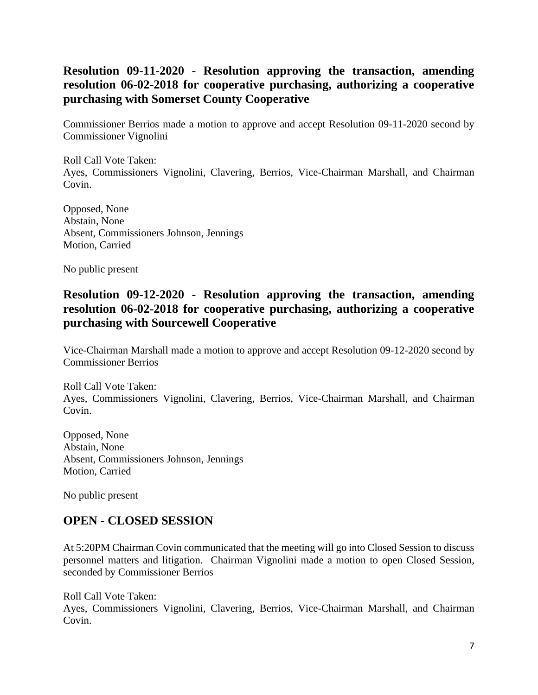## **Resolution 09-11-2020 - Resolution approving the transaction, amending resolution 06-02-2018 for cooperative purchasing, authorizing a cooperative purchasing with Somerset County Cooperative**

Commissioner Berrios made a motion to approve and accept Resolution 09-11-2020 second by Commissioner Vignolini

Roll Call Vote Taken: Ayes, Commissioners Vignolini, Clavering, Berrios, Vice-Chairman Marshall, and Chairman Covin.

Opposed, None Abstain, None Absent, Commissioners Johnson, Jennings Motion, Carried

No public present

### **Resolution 09-12-2020 - Resolution approving the transaction, amending resolution 06-02-2018 for cooperative purchasing, authorizing a cooperative purchasing with Sourcewell Cooperative**

Vice-Chairman Marshall made a motion to approve and accept Resolution 09-12-2020 second by Commissioner Berrios

Roll Call Vote Taken: Ayes, Commissioners Vignolini, Clavering, Berrios, Vice-Chairman Marshall, and Chairman Covin.

Opposed, None Abstain, None Absent, Commissioners Johnson, Jennings Motion, Carried

No public present

#### **OPEN - CLOSED SESSION**

At 5:20PM Chairman Covin communicated that the meeting will go into Closed Session to discuss personnel matters and litigation. Chairman Vignolini made a motion to open Closed Session, seconded by Commissioner Berrios

Roll Call Vote Taken: Ayes, Commissioners Vignolini, Clavering, Berrios, Vice-Chairman Marshall, and Chairman Covin.